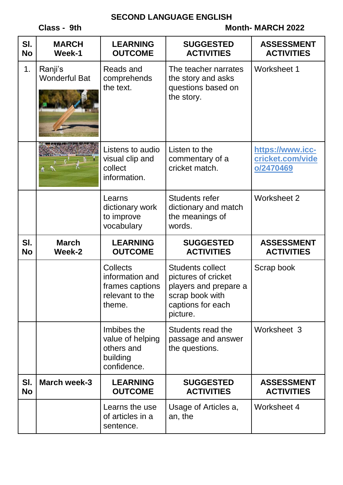### **SECOND LANGUAGE ENGLISH**

**Class - 9th** Month-MARCH 2022

| SI.<br><b>No</b> | <b>MARCH</b><br>Week-1          | <b>LEARNING</b><br><b>OUTCOME</b>                                                  | <b>SUGGESTED</b><br><b>ACTIVITIES</b>                                                                                       | <b>ASSESSMENT</b><br><b>ACTIVITIES</b>            |
|------------------|---------------------------------|------------------------------------------------------------------------------------|-----------------------------------------------------------------------------------------------------------------------------|---------------------------------------------------|
| 1.               | Ranji's<br><b>Wonderful Bat</b> | Reads and<br>comprehends<br>the text.                                              | The teacher narrates<br>the story and asks<br>questions based on<br>the story.                                              | <b>Worksheet 1</b>                                |
|                  |                                 | Listens to audio<br>visual clip and<br>collect<br>information.                     | Listen to the<br>commentary of a<br>cricket match.                                                                          | https://www.icc-<br>cricket.com/vide<br>o/2470469 |
|                  |                                 | Learns<br>dictionary work<br>to improve<br>vocabulary                              | <b>Students refer</b><br>dictionary and match<br>the meanings of<br>words.                                                  | Worksheet 2                                       |
| SI.              |                                 |                                                                                    |                                                                                                                             |                                                   |
| <b>No</b>        | <b>March</b><br>Week-2          | <b>LEARNING</b><br><b>OUTCOME</b>                                                  | <b>SUGGESTED</b><br><b>ACTIVITIES</b>                                                                                       | <b>ASSESSMENT</b><br><b>ACTIVITIES</b>            |
|                  |                                 | <b>Collects</b><br>information and<br>frames captions<br>relevant to the<br>theme. | <b>Students collect</b><br>pictures of cricket<br>players and prepare a<br>scrap book with<br>captions for each<br>picture. | Scrap book                                        |
|                  |                                 | Imbibes the<br>value of helping<br>others and<br>building<br>confidence.           | Students read the<br>passage and answer<br>the questions.                                                                   | Worksheet 3                                       |
| SI.<br><b>No</b> | <b>March week-3</b>             | <b>LEARNING</b><br><b>OUTCOME</b>                                                  | <b>SUGGESTED</b><br><b>ACTIVITIES</b>                                                                                       | <b>ASSESSMENT</b><br><b>ACTIVITIES</b>            |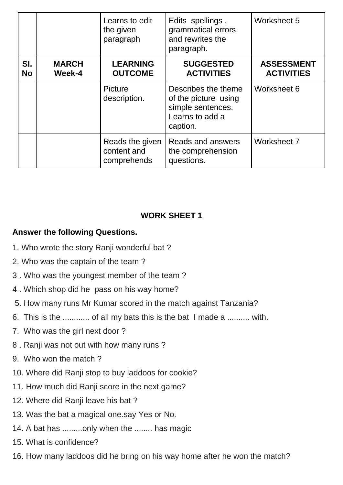|                  |                        | Learns to edit<br>the given<br>paragraph      | Edits spellings,<br>grammatical errors<br>and rewrites the<br>paragraph.                        | Worksheet 5                            |
|------------------|------------------------|-----------------------------------------------|-------------------------------------------------------------------------------------------------|----------------------------------------|
| SI.<br><b>No</b> | <b>MARCH</b><br>Week-4 | <b>LEARNING</b><br><b>OUTCOME</b>             | <b>SUGGESTED</b><br><b>ACTIVITIES</b>                                                           | <b>ASSESSMENT</b><br><b>ACTIVITIES</b> |
|                  |                        | Picture<br>description.                       | Describes the theme<br>of the picture using<br>simple sentences.<br>Learns to add a<br>caption. | Worksheet 6                            |
|                  |                        | Reads the given<br>content and<br>comprehends | <b>Reads and answers</b><br>the comprehension<br>questions.                                     | Worksheet 7                            |

# **WORK SHEET 1**

# **Answer the following Questions.**

- 1. Who wrote the story Ranji wonderful bat ?
- 2. Who was the captain of the team ?
- 3 . Who was the youngest member of the team ?
- 4 . Which shop did he pass on his way home?
- 5. How many runs Mr Kumar scored in the match against Tanzania?
- 6. This is the ............ of all my bats this is the bat I made a .......... with.
- 7. Who was the girl next door ?
- 8 . Ranji was not out with how many runs ?
- 9. Who won the match ?
- 10. Where did Ranji stop to buy laddoos for cookie?
- 11. How much did Ranji score in the next game?
- 12. Where did Ranji leave his bat ?
- 13. Was the bat a magical one.say Yes or No.
- 14. A bat has .........only when the ........ has magic
- 15. What is confidence?
- 16. How many laddoos did he bring on his way home after he won the match?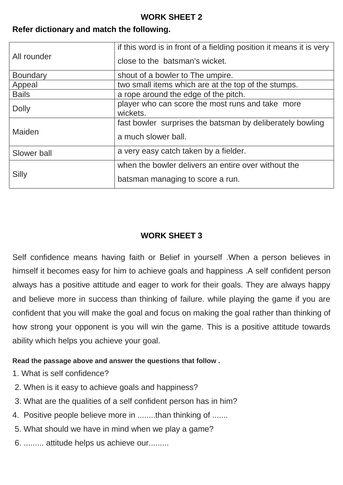## **WORK SHEET 2**

## **Refer dictionary and match the following.**

| All rounder     | if this word is in front of a fielding position it means it is very<br>close to the batsman's wicket. |
|-----------------|-------------------------------------------------------------------------------------------------------|
| <b>Boundary</b> | shout of a bowler to The umpire.                                                                      |
| Appeal          | two small items which are at the top of the stumps.                                                   |
| <b>Bails</b>    | a rope around the edge of the pitch.                                                                  |
| <b>Dolly</b>    | player who can score the most runs and take more<br>wickets.                                          |
| Maiden          | fast bowler surprises the batsman by deliberately bowling<br>a much slower ball.                      |
| Slower ball     | a very easy catch taken by a fielder.                                                                 |
| Silly           | when the bowler delivers an entire over without the<br>batsman managing to score a run.               |

## **WORK SHEET 3**

Self confidence means having faith or Belief in yourself .When a person believes in himself it becomes easy for him to achieve goals and happiness .A self confident person always has a positive attitude and eager to work for their goals. They are always happy and believe more in success than thinking of failure. while playing the game if you are confident that you will make the goal and focus on making the goal rather than thinking of how strong your opponent is you will win the game. This is a positive attitude towards ability which helps you achieve your goal.

### **Read the passage above and answer the questions that follow .**

- 1. What is self confidence?
- 2. When is it easy to achieve goals and happiness?
- 3. What are the qualities of a self confident person has in him?
- 4. Positive people believe more in ........than thinking of .......
- 5. What should we have in mind when we play a game?
- 6. ......... attitude helps us achieve our.........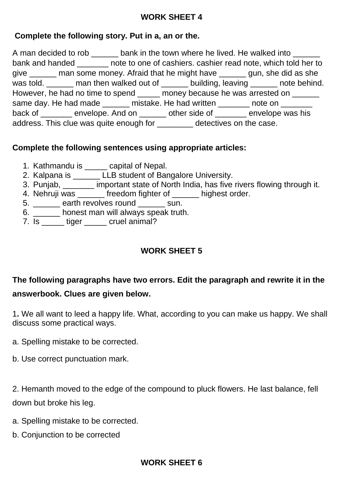## **WORK SHEET 4**

## **Complete the following story. Put in a, an or the.**

A man decided to rob \_\_\_\_\_\_ bank in the town where he lived. He walked into \_\_\_\_\_ bank and handed \_\_\_\_\_\_\_ note to one of cashiers. cashier read note, which told her to give \_\_\_\_\_\_ man some money. Afraid that he might have \_\_\_\_\_\_ gun, she did as she was told. \_\_\_\_\_\_ man then walked out of \_\_\_\_\_\_ building, leaving \_\_\_\_\_\_ note behind. However, he had no time to spend \_\_\_\_\_ money because he was arrested on \_\_\_\_\_\_ same day. He had made each mistake. He had written each conduction on the bad written same can be a set of the back of \_\_\_\_\_\_\_ envelope. And on \_\_\_\_\_\_ other side of \_\_\_\_\_\_ envelope was his address. This clue was quite enough for \_\_\_\_\_\_\_\_ detectives on the case.

## **Complete the following sentences using appropriate articles:**

- 1. Kathmandu is \_\_\_\_\_ capital of Nepal.
- 2. Kalpana is \_\_\_\_\_\_\_LLB student of Bangalore University.
- 3. Punjab, \_\_\_\_\_\_\_ important state of North India, has five rivers flowing through it.
- 4. Nehruji was \_\_\_\_\_\_ freedom fighter of \_\_\_\_\_\_ highest order.
- 5. \_\_\_\_\_\_ earth revolves round \_\_\_\_\_\_ sun.
- 6. \_\_\_\_\_\_ honest man will always speak truth.
- 7. Is \_\_\_\_\_\_ tiger \_\_\_\_\_\_ cruel animal?

# **WORK SHEET 5**

# **The following paragraphs have two errors. Edit the paragraph and rewrite it in the answerbook. Clues are given below.**

1**.** We all want to leed a happy life. What, according to you can make us happy. We shall discuss some practical ways.

- a. Spelling mistake to be corrected.
- b. Use correct punctuation mark.

2. Hemanth moved to the edge of the compound to pluck flowers. He last balance, fell down but broke his leg.

- a. Spelling mistake to be corrected.
- b. Conjunction to be corrected

## **WORK SHEET 6**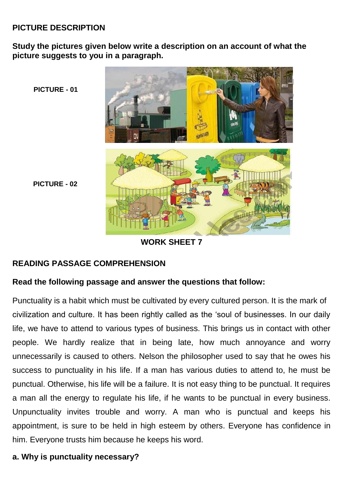## **PICTURE DESCRIPTION**

**Study the pictures given below write a description on an account of what the picture suggests to you in a paragraph.**



## **WORK SHEET 7**

### **READING PASSAGE COMPREHENSION**

#### **Read the following passage and answer the questions that follow:**

Punctuality is a habit which must be cultivated by every cultured person. It is the mark of civilization and culture. It has been rightly called as the 'soul of businesses. In our daily life, we have to attend to various types of business. This brings us in contact with other people. We hardly realize that in being late, how much annoyance and worry unnecessarily is caused to others. Nelson the philosopher used to say that he owes his success to punctuality in his life. If a man has various duties to attend to, he must be punctual. Otherwise, his life will be a failure. It is not easy thing to be punctual. It requires a man all the energy to regulate his life, if he wants to be punctual in every business. Unpunctuality invites trouble and worry. A man who is punctual and keeps his appointment, is sure to be held in high esteem by others. Everyone has confidence in him. Everyone trusts him because he keeps his word.

### **a. Why is punctuality necessary?**